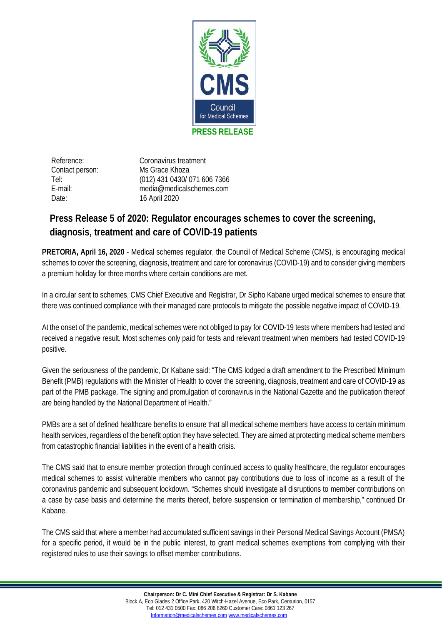

Reference: Coronavirus treatment Contact person: Ms Grace Khoza Tel: (012) 431 0430/ 071 606 7366 E-mail: [media@medicalschemes.com](mailto:g.khoza@medicalschemes.com) Date: 16 April 2020

## **Press Release 5 of 2020: Regulator encourages schemes to cover the screening, diagnosis, treatment and care of COVID-19 patients**

**PRETORIA, April 16, 2020** - Medical schemes regulator, the Council of Medical Scheme (CMS), is encouraging medical schemes to cover the screening, diagnosis, treatment and care for coronavirus (COVID-19) and to consider giving members a premium holiday for three months where certain conditions are met.

In a circular sent to schemes, CMS Chief Executive and Registrar, Dr Sipho Kabane urged medical schemes to ensure that there was continued compliance with their managed care protocols to mitigate the possible negative impact of COVID-19.

At the onset of the pandemic, medical schemes were not obliged to pay for COVID-19 tests where members had tested and received a negative result. Most schemes only paid for tests and relevant treatment when members had tested COVID-19 positive.

Given the seriousness of the pandemic, Dr Kabane said: "The CMS lodged a draft amendment to the Prescribed Minimum Benefit (PMB) regulations with the Minister of Health to cover the screening, diagnosis, treatment and care of COVID-19 as part of the PMB package. The signing and promulgation of coronavirus in the National Gazette and the publication thereof are being handled by the National Department of Health."

PMBs are a set of defined healthcare benefits to ensure that all medical scheme members have access to certain minimum health services, regardless of the benefit option they have selected. They are aimed at protecting medical scheme members from catastrophic financial liabilities in the event of a health crisis.

The CMS said that to ensure member protection through continued access to quality healthcare, the regulator encourages medical schemes to assist vulnerable members who cannot pay contributions due to loss of income as a result of the coronavirus pandemic and subsequent lockdown. "Schemes should investigate all disruptions to member contributions on a case by case basis and determine the merits thereof, before suspension or termination of membership," continued Dr Kabane.

The CMS said that where a member had accumulated sufficient savings in their Personal Medical Savings Account (PMSA) for a specific period, it would be in the public interest, to grant medical schemes exemptions from complying with their registered rules to use their savings to offset member contributions.